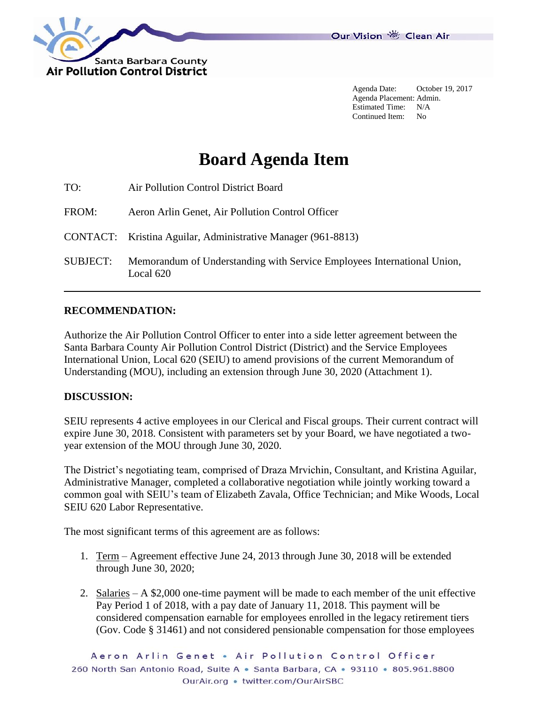

Agenda Date: October 19, 2017 Agenda Placement: Admin. Estimated Time: N/A Continued Item: No

# **Board Agenda Item**

| TO:             | Air Pollution Control District Board                                                 |
|-----------------|--------------------------------------------------------------------------------------|
| FROM:           | Aeron Arlin Genet, Air Pollution Control Officer                                     |
|                 | CONTACT: Kristina Aguilar, Administrative Manager (961-8813)                         |
| <b>SUBJECT:</b> | Memorandum of Understanding with Service Employees International Union,<br>Local 620 |

#### **RECOMMENDATION:**

Authorize the Air Pollution Control Officer to enter into a side letter agreement between the Santa Barbara County Air Pollution Control District (District) and the Service Employees International Union, Local 620 (SEIU) to amend provisions of the current Memorandum of Understanding (MOU), including an extension through June 30, 2020 (Attachment 1).

#### **DISCUSSION:**

SEIU represents 4 active employees in our Clerical and Fiscal groups. Their current contract will expire June 30, 2018. Consistent with parameters set by your Board, we have negotiated a twoyear extension of the MOU through June 30, 2020.

The District's negotiating team, comprised of Draza Mrvichin, Consultant, and Kristina Aguilar, Administrative Manager, completed a collaborative negotiation while jointly working toward a common goal with SEIU's team of Elizabeth Zavala, Office Technician; and Mike Woods, Local SEIU 620 Labor Representative.

The most significant terms of this agreement are as follows:

- 1. Term Agreement effective June 24, 2013 through June 30, 2018 will be extended through June 30, 2020;
- 2. Salaries A \$2,000 one-time payment will be made to each member of the unit effective Pay Period 1 of 2018, with a pay date of January 11, 2018. This payment will be considered compensation earnable for employees enrolled in the legacy retirement tiers (Gov. Code § 31461) and not considered pensionable compensation for those employees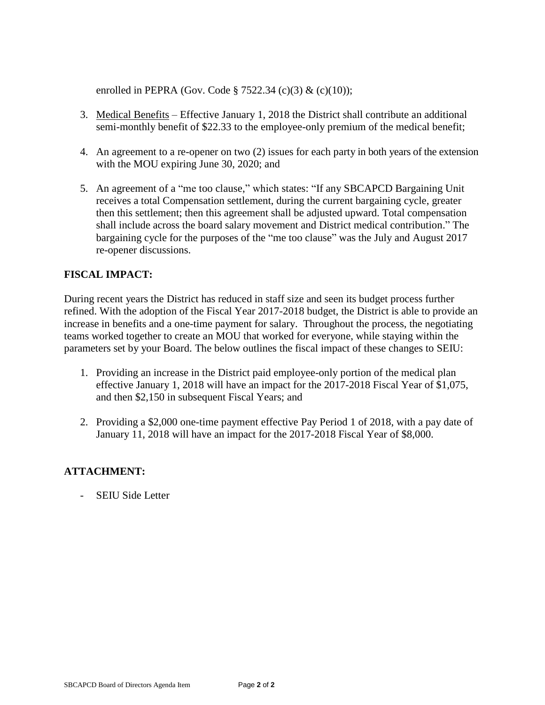enrolled in PEPRA (Gov. Code § 7522.34 (c)(3) & (c)(10));

- 3. Medical Benefits Effective January 1, 2018 the District shall contribute an additional semi-monthly benefit of \$22.33 to the employee-only premium of the medical benefit;
- 4. An agreement to a re-opener on two (2) issues for each party in both years of the extension with the MOU expiring June 30, 2020; and
- 5. An agreement of a "me too clause," which states: "If any SBCAPCD Bargaining Unit receives a total Compensation settlement, during the current bargaining cycle, greater then this settlement; then this agreement shall be adjusted upward. Total compensation shall include across the board salary movement and District medical contribution." The bargaining cycle for the purposes of the "me too clause" was the July and August 2017 re-opener discussions.

## **FISCAL IMPACT:**

During recent years the District has reduced in staff size and seen its budget process further refined. With the adoption of the Fiscal Year 2017-2018 budget, the District is able to provide an increase in benefits and a one-time payment for salary. Throughout the process, the negotiating teams worked together to create an MOU that worked for everyone, while staying within the parameters set by your Board. The below outlines the fiscal impact of these changes to SEIU:

- 1. Providing an increase in the District paid employee-only portion of the medical plan effective January 1, 2018 will have an impact for the 2017-2018 Fiscal Year of \$1,075, and then \$2,150 in subsequent Fiscal Years; and
- 2. Providing a \$2,000 one-time payment effective Pay Period 1 of 2018, with a pay date of January 11, 2018 will have an impact for the 2017-2018 Fiscal Year of \$8,000.

## **ATTACHMENT:**

- SEIU Side Letter